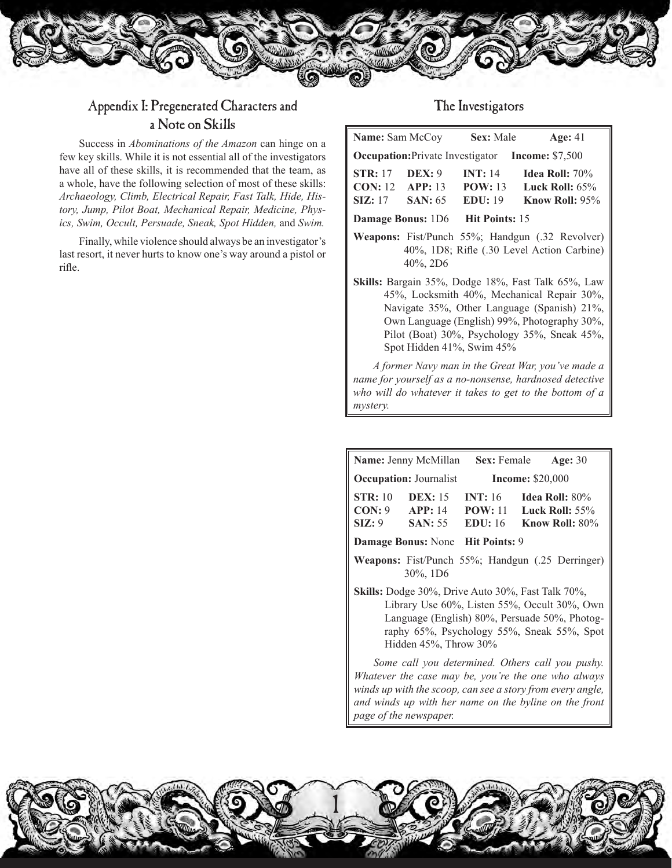

*mystery.*

## Appendix I: Pregenerated Characters and a Note on Skills

Success in *Abominations of the Amazon* can hinge on a few key skills. While it is not essential all of the investigators have all of these skills, it is recommended that the team, as a whole, have the following selection of most of these skills: *Archaeology, Climb, Electrical Repair, Fast Talk, Hide, History, Jump, Pilot Boat, Mechanical Repair, Medicine, Physics, Swim, Occult, Persuade, Sneak, Spot Hidden,* and *Swim.* 

Finally, while violence should always be an investigator's last resort, it never hurts to know one's way around a pistol or rifle.

## The Investigators

| <b>Name:</b> Sam McCoy                                                                                                                                                                                                                                                       |                     | Sex: Male                            | Age: $41$                                                          |  |
|------------------------------------------------------------------------------------------------------------------------------------------------------------------------------------------------------------------------------------------------------------------------------|---------------------|--------------------------------------|--------------------------------------------------------------------|--|
| <b>Occupation:</b> Private Investigator Income: \$7,500                                                                                                                                                                                                                      |                     |                                      |                                                                    |  |
| <b>STR:</b> 17<br><b>CON:</b> 12 <b>APP:</b> 13<br>$\text{SIZ}: 17$                                                                                                                                                                                                          | $DEX: 9$<br>SAN: 65 | <b>INT:</b> 14<br>POW: 13<br>EDU: 19 | <b>Idea Roll:</b> 70%<br>Luck Roll: $65%$<br><b>Know Roll: 95%</b> |  |
| <b>Damage Bonus:</b> 1D6<br><b>Hit Points: 15</b>                                                                                                                                                                                                                            |                     |                                      |                                                                    |  |
| <b>Weapons:</b> Fist/Punch 55%; Handgun (.32 Revolver)<br>40%, 1D8; Rifle (.30 Level Action Carbine)<br>$40\%$ , 2D6                                                                                                                                                         |                     |                                      |                                                                    |  |
| Skills: Bargain 35%, Dodge 18%, Fast Talk 65%, Law<br>45%, Locksmith 40%, Mechanical Repair 30%,<br>Navigate 35%, Other Language (Spanish) 21%,<br>Own Language (English) 99%, Photography 30%,<br>Pilot (Boat) 30%, Psychology 35%, Sneak 45%,<br>Spot Hidden 41%, Swim 45% |                     |                                      |                                                                    |  |
| A former Navy man in the Great War, you've made a<br>name for yourself as a no-nonsense, hardnosed detective<br>who will do whatever it takes to get to the bottom of a                                                                                                      |                     |                                      |                                                                    |  |

| Name: Jenny McMillan<br><b>Sex:</b> Female<br><b>Age: 30</b>                                                                                                                                                                            |                                               |                              |                                                                 |  |
|-----------------------------------------------------------------------------------------------------------------------------------------------------------------------------------------------------------------------------------------|-----------------------------------------------|------------------------------|-----------------------------------------------------------------|--|
| <b>Occupation: Journalist</b><br><b>Income: \$20,000</b>                                                                                                                                                                                |                                               |                              |                                                                 |  |
| STR:10<br>CON: 9<br>SIZ: 9                                                                                                                                                                                                              | <b>DEX</b> : 15<br>APP: 14<br><b>SAN</b> : 55 | INT: 16<br>POW:11<br>EDU: 16 | <b>Idea Roll:</b> $80\%$<br>Luck Roll: $55\%$<br>Know Roll: 80% |  |
| Damage Bonus: None Hit Points: 9                                                                                                                                                                                                        |                                               |                              |                                                                 |  |
| <b>Weapons:</b> Fist/Punch 55%; Handgun (.25 Derringer)<br>$30\%$ , 1D6                                                                                                                                                                 |                                               |                              |                                                                 |  |
| <b>Skills:</b> Dodge 30%, Drive Auto 30%, Fast Talk 70%,<br>Library Use 60%, Listen 55%, Occult 30%, Own<br>Language (English) 80%, Persuade 50%, Photog-<br>raphy 65%, Psychology 55%, Sneak 55%, Spot<br>Hidden $45\%$ , Throw $30\%$ |                                               |                              |                                                                 |  |
| Some call you determined. Others call you pushy.<br>Whatever the case may be, you're the one who always<br>winds up with the scoop, can see a story from every angle,<br>and winds up with her name on the byline on the front          |                                               |                              |                                                                 |  |



*page of the newspaper.*